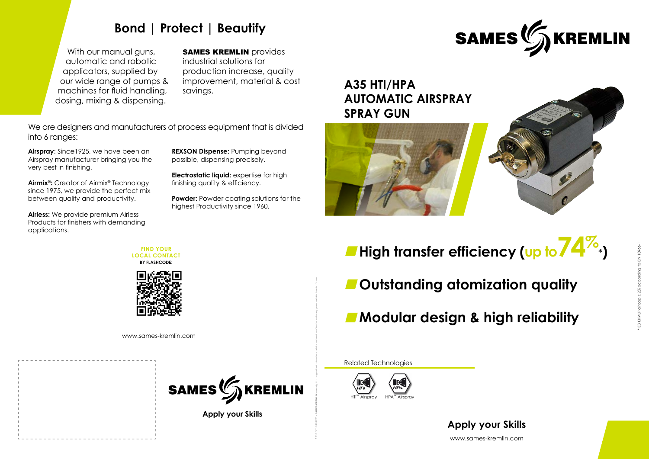www.sames-kremlin.com **Apply your Skills**



# **High transfer efficiency (up to74%** \***)**



- **Outstanding atomization quality**
- **Modular design & high reliability**

# **A35 HTI/HPA AUTOMATIC AIRSPRAY SPRAY GUN**



Related Technologies



**Apply your Skills**

**FIND YOUR LOCAL CONTACT BY FLASHCODE:**



With our manual guns, automatic and robotic applicators, supplied by our wide range of pumps & machines for fluid handling, dosing, mixing & dispensing.

**SAMES KREMLIN** provides

1703.573.646.002 - SAMES KREMLIN saves right to change without notice characteristics and services offered as well as equipment and attachments of these.

# **Bond | Protect | Beautify**

**Powder:** Powder coating solutions for the highest Productivity since 1960.

industrial solutions for production increase, quality improvement, material & cost savings.

**Airspray**: Since1925, we have been an Airspray manufacturer bringing you the very best in finishing.

**Airmix®:** Creator of Airmix**®** Technology since 1975, we provide the perfect mix between quality and productivity.

**Airless:** We provide premium Airless Products for finishers with demanding applications.

**REXSON Dispense:** Pumping beyond possible, dispensing precisely.

**Electrostatic liquid:** expertise for high finishing quality & efficiency.

We are designers and manufacturers of process equipment that is divided into 6 ranges:

www.sames-kremlin.com